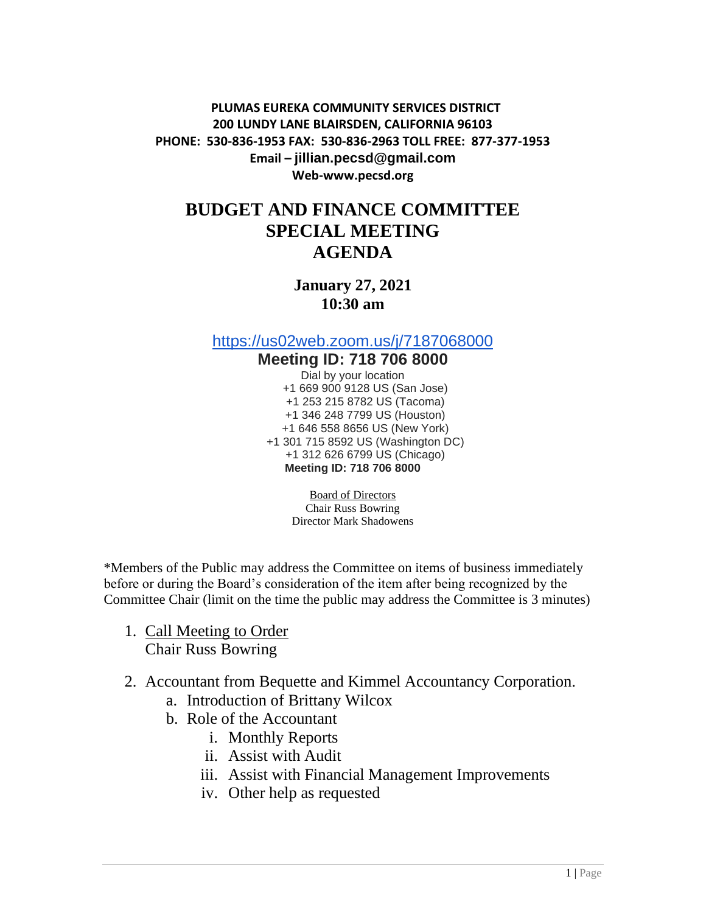**PLUMAS EUREKA COMMUNITY SERVICES DISTRICT 200 LUNDY LANE BLAIRSDEN, CALIFORNIA 96103 PHONE: 530-836-1953 FAX: 530-836-2963 TOLL FREE: 877-377-1953 Email – jillian.pecsd@gmail.com Web-www.pecsd.org**

## **BUDGET AND FINANCE COMMITTEE SPECIAL MEETING AGENDA**

**January 27, 2021 10:30 am**

<https://us02web.zoom.us/j/7187068000>

## **Meeting ID: 718 706 8000** Dial by your location +1 669 900 9128 US (San Jose) +1 253 215 8782 US (Tacoma) +1 346 248 7799 US (Houston) +1 646 558 8656 US (New York) +1 301 715 8592 US (Washington DC) +1 312 626 6799 US (Chicago) **Meeting ID: 718 706 8000**

Board of Directors Chair Russ Bowring Director Mark Shadowens

\*Members of the Public may address the Committee on items of business immediately before or during the Board's consideration of the item after being recognized by the Committee Chair (limit on the time the public may address the Committee is 3 minutes)

- 1. Call Meeting to Order Chair Russ Bowring
- 2. Accountant from Bequette and Kimmel Accountancy Corporation.
	- a. Introduction of Brittany Wilcox
	- b. Role of the Accountant
		- i. Monthly Reports
		- ii. Assist with Audit
		- iii. Assist with Financial Management Improvements
		- iv. Other help as requested